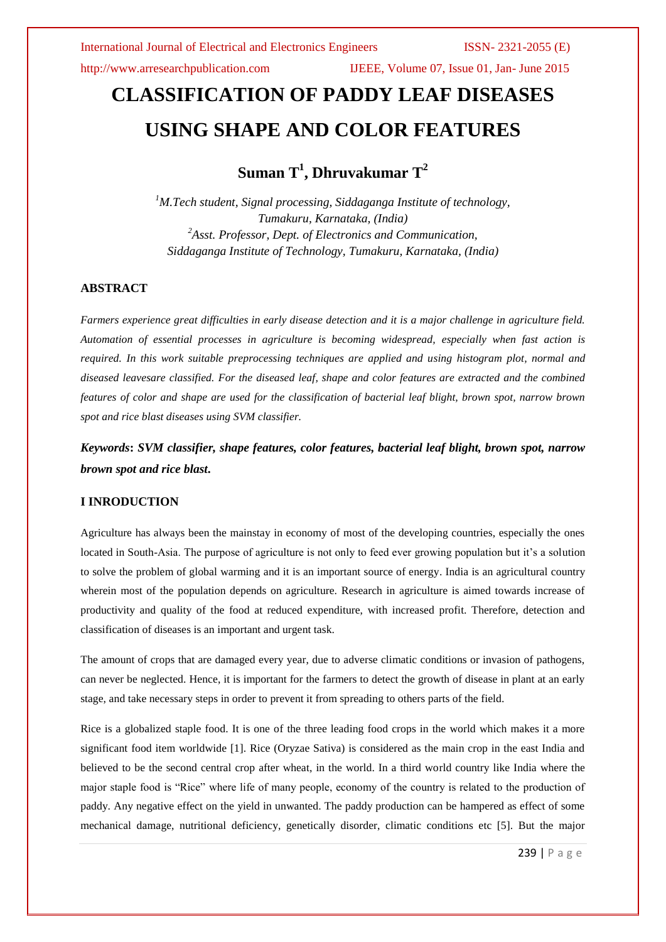http://www.arresearchpublication.com IJEEE, Volume 07, Issue 01, Jan- June 2015

# **CLASSIFICATION OF PADDY LEAF DISEASES USING SHAPE AND COLOR FEATURES**

**Suman T<sup>1</sup> , Dhruvakumar T<sup>2</sup>**

*<sup>1</sup>M.Tech student, Signal processing, Siddaganga Institute of technology, Tumakuru, Karnataka, (India) <sup>2</sup>Asst. Professor, Dept. of Electronics and Communication, Siddaganga Institute of Technology, Tumakuru, Karnataka, (India)*

# **ABSTRACT**

*Farmers experience great difficulties in early disease detection and it is a major challenge in agriculture field. Automation of essential processes in agriculture is becoming widespread, especially when fast action is required. In this work suitable preprocessing techniques are applied and using histogram plot, normal and diseased leavesare classified. For the diseased leaf, shape and color features are extracted and the combined features of color and shape are used for the classification of bacterial leaf blight, brown spot, narrow brown spot and rice blast diseases using SVM classifier.*

*Keywords***:** *SVM classifier, shape features, color features, bacterial leaf blight, brown spot, narrow brown spot and rice blast***.**

# **I INRODUCTION**

Agriculture has always been the mainstay in economy of most of the developing countries, especially the ones located in South-Asia. The purpose of agriculture is not only to feed ever growing population but it's a solution to solve the problem of global warming and it is an important source of energy. India is an agricultural country wherein most of the population depends on agriculture. Research in agriculture is aimed towards increase of productivity and quality of the food at reduced expenditure, with increased profit. Therefore, detection and classification of diseases is an important and urgent task.

The amount of crops that are damaged every year, due to adverse climatic conditions or invasion of pathogens, can never be neglected. Hence, it is important for the farmers to detect the growth of disease in plant at an early stage, and take necessary steps in order to prevent it from spreading to others parts of the field.

Rice is a globalized staple food. It is one of the three leading food crops in the world which makes it a more significant food item worldwide [1]. Rice (Oryzae Sativa) is considered as the main crop in the east India and believed to be the second central crop after wheat, in the world. In a third world country like India where the major staple food is "Rice" where life of many people, economy of the country is related to the production of paddy. Any negative effect on the yield in unwanted. The paddy production can be hampered as effect of some mechanical damage, nutritional deficiency, genetically disorder, climatic conditions etc [5]. But the major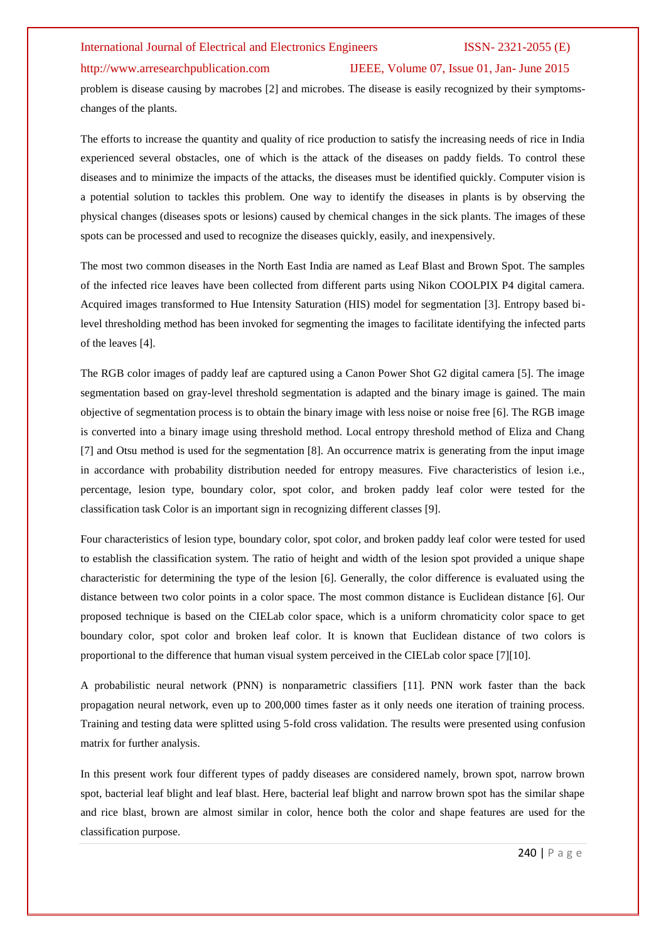# http://www.arresearchpublication.com IJEEE, Volume 07, Issue 01, Jan- June 2015

problem is disease causing by macrobes [2] and microbes. The disease is easily recognized by their symptomschanges of the plants.

The efforts to increase the quantity and quality of rice production to satisfy the increasing needs of rice in India experienced several obstacles, one of which is the attack of the diseases on paddy fields. To control these diseases and to minimize the impacts of the attacks, the diseases must be identified quickly. Computer vision is a potential solution to tackles this problem. One way to identify the diseases in plants is by observing the physical changes (diseases spots or lesions) caused by chemical changes in the sick plants. The images of these spots can be processed and used to recognize the diseases quickly, easily, and inexpensively.

The most two common diseases in the North East India are named as Leaf Blast and Brown Spot. The samples of the infected rice leaves have been collected from different parts using Nikon COOLPIX P4 digital camera. Acquired images transformed to Hue Intensity Saturation (HIS) model for segmentation [3]. Entropy based bilevel thresholding method has been invoked for segmenting the images to facilitate identifying the infected parts of the leaves [4].

The RGB color images of paddy leaf are captured using a Canon Power Shot G2 digital camera [5]. The image segmentation based on gray-level threshold segmentation is adapted and the binary image is gained. The main objective of segmentation process is to obtain the binary image with less noise or noise free [6]. The RGB image is converted into a binary image using threshold method. Local entropy threshold method of Eliza and Chang [7] and Otsu method is used for the segmentation [8]. An occurrence matrix is generating from the input image in accordance with probability distribution needed for entropy measures. Five characteristics of lesion i.e., percentage, lesion type, boundary color, spot color, and broken paddy leaf color were tested for the classification task Color is an important sign in recognizing different classes [9].

Four characteristics of lesion type, boundary color, spot color, and broken paddy leaf color were tested for used to establish the classification system. The ratio of height and width of the lesion spot provided a unique shape characteristic for determining the type of the lesion [6]. Generally, the color difference is evaluated using the distance between two color points in a color space. The most common distance is Euclidean distance [6]. Our proposed technique is based on the CIELab color space, which is a uniform chromaticity color space to get boundary color, spot color and broken leaf color. It is known that Euclidean distance of two colors is proportional to the difference that human visual system perceived in the CIELab color space [7][10].

A probabilistic neural network (PNN) is nonparametric classifiers [11]. PNN work faster than the back propagation neural network, even up to 200,000 times faster as it only needs one iteration of training process. Training and testing data were splitted using 5-fold cross validation. The results were presented using confusion matrix for further analysis.

In this present work four different types of paddy diseases are considered namely, brown spot, narrow brown spot, bacterial leaf blight and leaf blast. Here, bacterial leaf blight and narrow brown spot has the similar shape and rice blast, brown are almost similar in color, hence both the color and shape features are used for the classification purpose.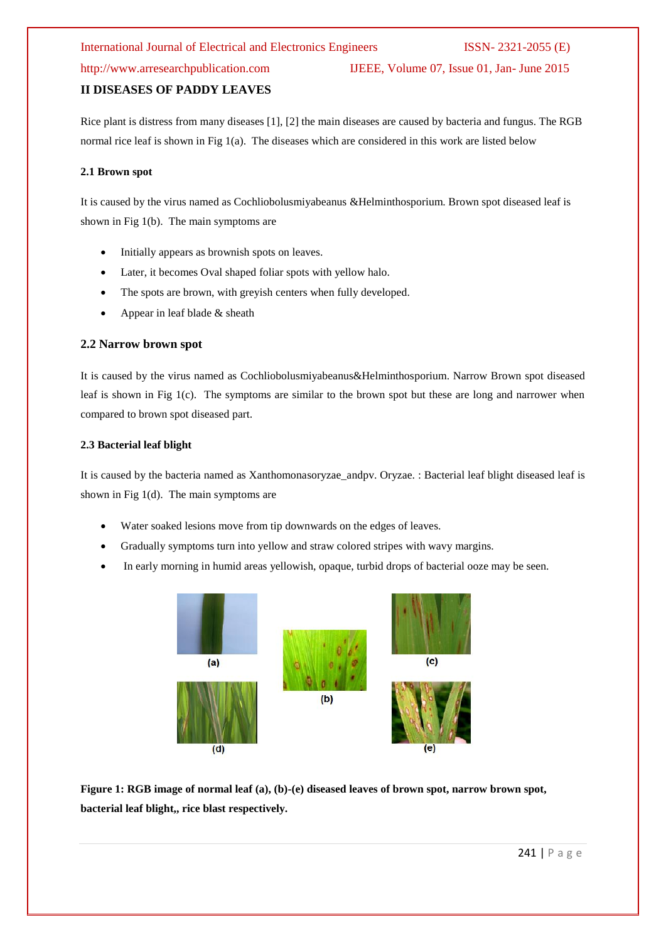http://www.arresearchpublication.com IJEEE, Volume 07, Issue 01, Jan- June 2015

## **II DISEASES OF PADDY LEAVES**

Rice plant is distress from many diseases [1], [2] the main diseases are caused by bacteria and fungus. The RGB normal rice leaf is shown in Fig 1(a). The diseases which are considered in this work are listed below

### **2.1 Brown spot**

It is caused by the virus named as Cochliobolusmiyabeanus &Helminthosporium. Brown spot diseased leaf is shown in Fig 1(b). The main symptoms are

- Initially appears as brownish spots on leaves.
- Later, it becomes Oval shaped foliar spots with yellow halo.
- The spots are brown, with greyish centers when fully developed.
- Appear in leaf blade  $&$  sheath

### **2.2 Narrow brown spot**

It is caused by the virus named as Cochliobolusmiyabeanus&Helminthosporium. Narrow Brown spot diseased leaf is shown in Fig 1(c). The symptoms are similar to the brown spot but these are long and narrower when compared to brown spot diseased part.

### **2.3 Bacterial leaf blight**

It is caused by the bacteria named as Xanthomonasoryzae\_andpv. Oryzae. : Bacterial leaf blight diseased leaf is shown in Fig 1(d). The main symptoms are

- Water soaked lesions move from tip downwards on the edges of leaves.
- Gradually symptoms turn into yellow and straw colored stripes with wavy margins.
- In early morning in humid areas yellowish, opaque, turbid drops of bacterial ooze may be seen.



**Figure 1: RGB image of normal leaf (a), (b)-(e) diseased leaves of brown spot, narrow brown spot, bacterial leaf blight,, rice blast respectively.**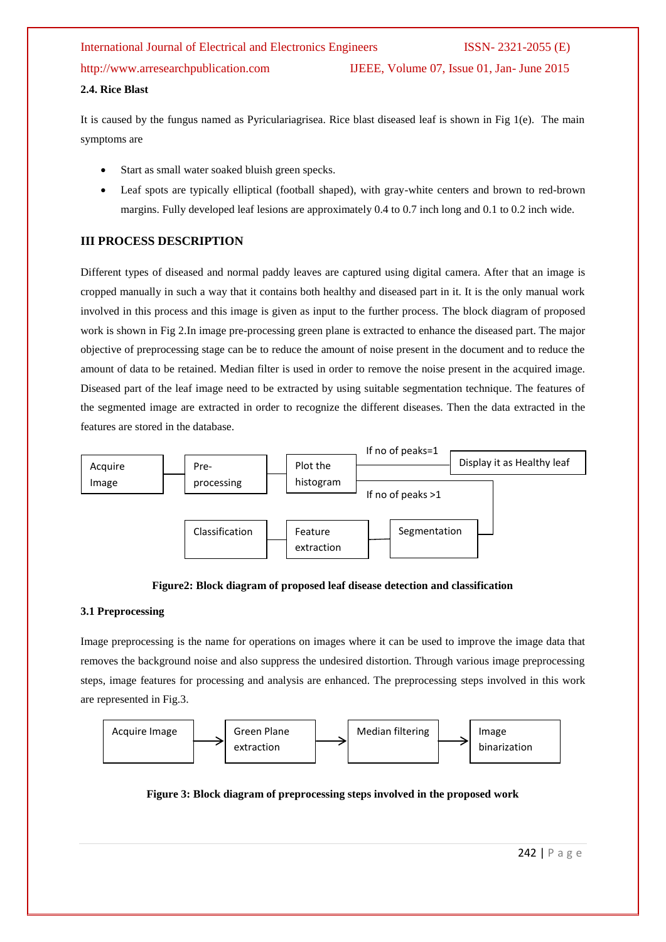# International Journal of Electrical and Electronics Engineers ISSN- 2321-2055 (E) http://www.arresearchpublication.com IJEEE, Volume 07, Issue 01, Jan- June 2015

# **2.4. Rice Blast**

It is caused by the fungus named as Pyriculariagrisea. Rice blast diseased leaf is shown in Fig 1(e). The main symptoms are

- Start as small water soaked bluish green specks.
- Leaf spots are typically elliptical (football shaped), with gray-white centers and brown to red-brown margins. Fully developed leaf lesions are approximately 0.4 to 0.7 inch long and 0.1 to 0.2 inch wide.

# **III PROCESS DESCRIPTION**

Different types of diseased and normal paddy leaves are captured using digital camera. After that an image is cropped manually in such a way that it contains both healthy and diseased part in it. It is the only manual work involved in this process and this image is given as input to the further process. The block diagram of proposed work is shown in Fig 2.In image pre-processing green plane is extracted to enhance the diseased part. The major objective of preprocessing stage can be to reduce the amount of noise present in the document and to reduce the amount of data to be retained. Median filter is used in order to remove the noise present in the acquired image. Diseased part of the leaf image need to be extracted by using suitable segmentation technique. The features of the segmented image are extracted in order to recognize the different diseases. Then the data extracted in the features are stored in the database.



# **Figure2: Block diagram of proposed leaf disease detection and classification**

# **3.1 Preprocessing**

Image preprocessing is the name for operations on images where it can be used to improve the image data that removes the background noise and also suppress the undesired distortion. Through various image preprocessing steps, image features for processing and analysis are enhanced. The preprocessing steps involved in this work are represented in Fig.3.



**Figure 3: Block diagram of preprocessing steps involved in the proposed work**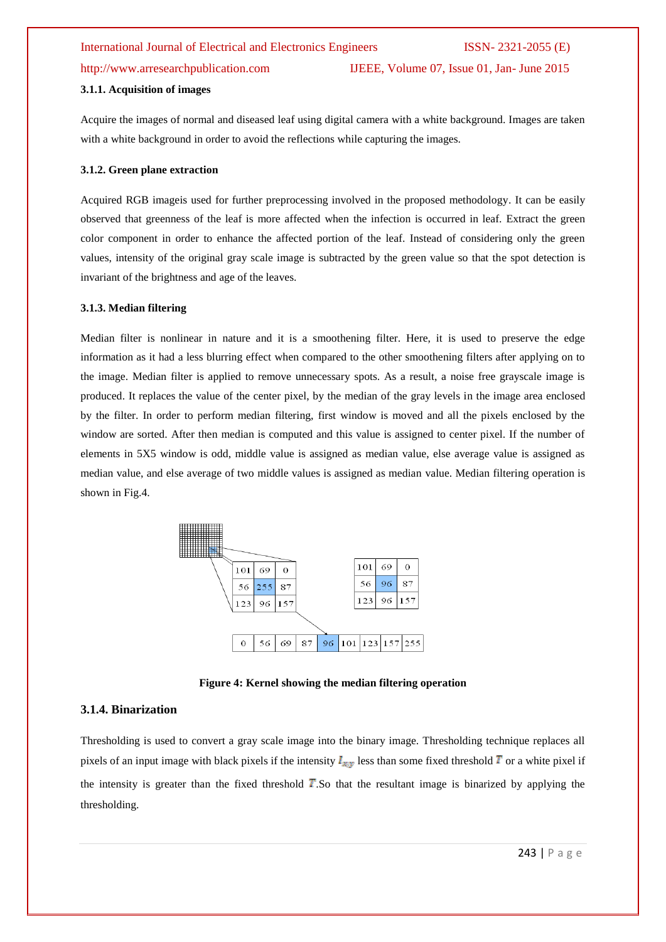http://www.arresearchpublication.com IJEEE, Volume 07, Issue 01, Jan- June 2015

#### **3.1.1. Acquisition of images**

Acquire the images of normal and diseased leaf using digital camera with a white background. Images are taken with a white background in order to avoid the reflections while capturing the images.

### **3.1.2. Green plane extraction**

Acquired RGB imageis used for further preprocessing involved in the proposed methodology. It can be easily observed that greenness of the leaf is more affected when the infection is occurred in leaf. Extract the green color component in order to enhance the affected portion of the leaf. Instead of considering only the green values, intensity of the original gray scale image is subtracted by the green value so that the spot detection is invariant of the brightness and age of the leaves.

#### **3.1.3. Median filtering**

Median filter is nonlinear in nature and it is a smoothening filter. Here, it is used to preserve the edge information as it had a less blurring effect when compared to the other smoothening filters after applying on to the image. Median filter is applied to remove unnecessary spots. As a result, a noise free grayscale image is produced. It replaces the value of the center pixel, by the median of the gray levels in the image area enclosed by the filter. In order to perform median filtering, first window is moved and all the pixels enclosed by the window are sorted. After then median is computed and this value is assigned to center pixel. If the number of elements in 5X5 window is odd, middle value is assigned as median value, else average value is assigned as median value, and else average of two middle values is assigned as median value. Median filtering operation is shown in Fig.4.



**Figure 4: Kernel showing the median filtering operation**

### **3.1.4. Binarization**

Thresholding is used to convert a gray scale image into the binary image. Thresholding technique replaces all pixels of an input image with black pixels if the intensity  $I_{xy}$  less than some fixed threshold T or a white pixel if the intensity is greater than the fixed threshold  $T$ . So that the resultant image is binarized by applying the thresholding.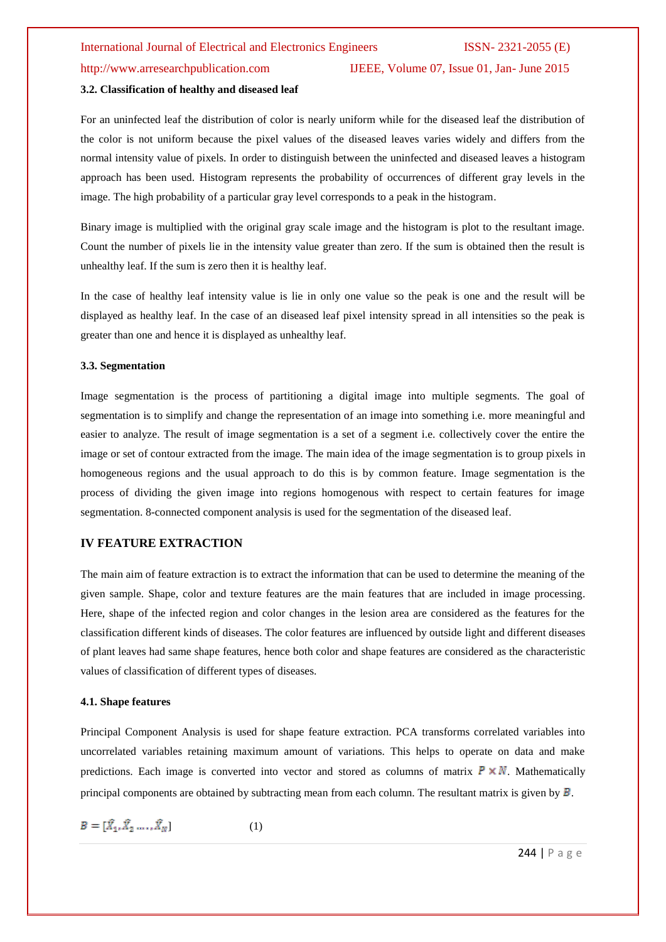# http://www.arresearchpublication.com IJEEE, Volume 07, Issue 01, Jan- June 2015

### **3.2. Classification of healthy and diseased leaf**

For an uninfected leaf the distribution of color is nearly uniform while for the diseased leaf the distribution of the color is not uniform because the pixel values of the diseased leaves varies widely and differs from the normal intensity value of pixels. In order to distinguish between the uninfected and diseased leaves a histogram approach has been used. Histogram represents the probability of occurrences of different gray levels in the image. The high probability of a particular gray level corresponds to a peak in the histogram.

Binary image is multiplied with the original gray scale image and the histogram is plot to the resultant image. Count the number of pixels lie in the intensity value greater than zero. If the sum is obtained then the result is unhealthy leaf. If the sum is zero then it is healthy leaf.

In the case of healthy leaf intensity value is lie in only one value so the peak is one and the result will be displayed as healthy leaf. In the case of an diseased leaf pixel intensity spread in all intensities so the peak is greater than one and hence it is displayed as unhealthy leaf.

#### **3.3. Segmentation**

Image segmentation is the process of partitioning a digital image into multiple segments. The goal of segmentation is to simplify and change the representation of an image into something i.e. more meaningful and easier to analyze. The result of image segmentation is a set of a segment i.e. collectively cover the entire the image or set of contour extracted from the image. The main idea of the image segmentation is to group pixels in homogeneous regions and the usual approach to do this is by common feature. Image segmentation is the process of dividing the given image into regions homogenous with respect to certain features for image segmentation. 8-connected component analysis is used for the segmentation of the diseased leaf.

# **IV FEATURE EXTRACTION**

The main aim of feature extraction is to extract the information that can be used to determine the meaning of the given sample. Shape, color and texture features are the main features that are included in image processing. Here, shape of the infected region and color changes in the lesion area are considered as the features for the classification different kinds of diseases. The color features are influenced by outside light and different diseases of plant leaves had same shape features, hence both color and shape features are considered as the characteristic values of classification of different types of diseases.

#### **4.1. Shape features**

Principal Component Analysis is used for shape feature extraction. PCA transforms correlated variables into uncorrelated variables retaining maximum amount of variations. This helps to operate on data and make predictions. Each image is converted into vector and stored as columns of matrix  $P \times N$ . Mathematically principal components are obtained by subtracting mean from each column. The resultant matrix is given by  $\overline{B}$ .

$$
B = [\hat{X}_1, \hat{X}_2, \dots, \hat{X}_N]
$$
 (1)

244 | P a g e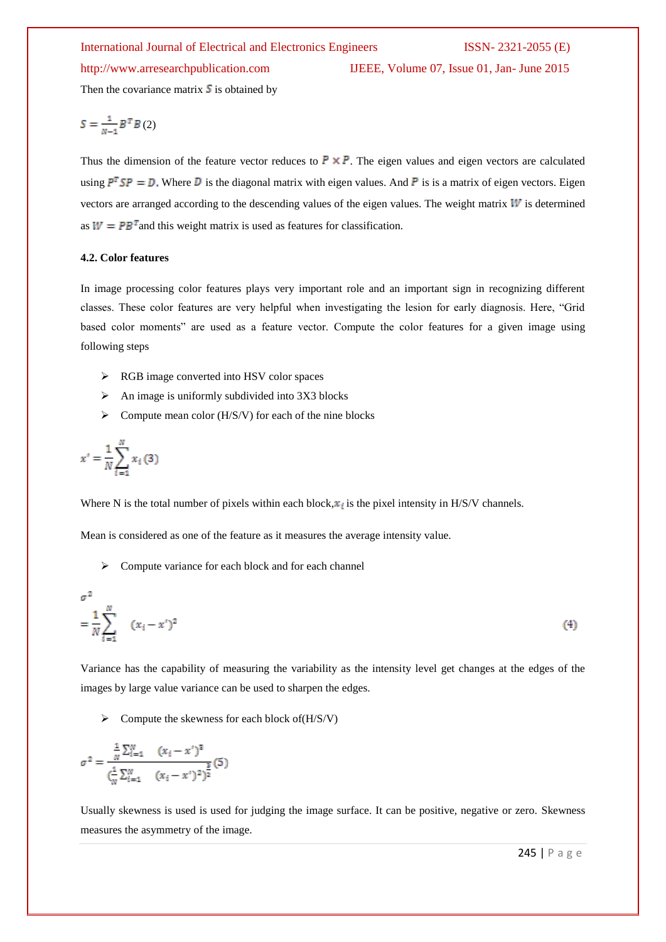http://www.arresearchpublication.com IJEEE, Volume 07, Issue 01, Jan- June 2015

Then the covariance matrix  $\boldsymbol{S}$  is obtained by

$$
S = \frac{1}{N-1} B^T B(2)
$$

Thus the dimension of the feature vector reduces to  $P \times P$ . The eigen values and eigen vectors are calculated using  $P^T SP = D$ . Where D is the diagonal matrix with eigen values. And P is is a matrix of eigen vectors. Eigen vectors are arranged according to the descending values of the eigen values. The weight matrix  $W$  is determined as  $W = PB^{T}$  and this weight matrix is used as features for classification.

### **4.2. Color features**

In image processing color features plays very important role and an important sign in recognizing different classes. These color features are very helpful when investigating the lesion for early diagnosis. Here, "Grid based color moments" are used as a feature vector. Compute the color features for a given image using following steps

- $\triangleright$  RGB image converted into HSV color spaces
- $\triangleright$  An image is uniformly subdivided into 3X3 blocks
- $\triangleright$  Compute mean color (H/S/V) for each of the nine blocks

$$
x' = \frac{1}{N} \sum_{i=1}^{N} x_i(3)
$$

Where N is the total number of pixels within each block,  $x_i$  is the pixel intensity in H/S/V channels.

Mean is considered as one of the feature as it measures the average intensity value.

 $\triangleright$  Compute variance for each block and for each channel

$$
\sigma^2 = \frac{1}{N} \sum_{i=1}^{N} (x_i - x')^2
$$
 (4)

Variance has the capability of measuring the variability as the intensity level get changes at the edges of the images by large value variance can be used to sharpen the edges.

 $\triangleright$  Compute the skewness for each block of  $(H/S/V)$ 

$$
\sigma^2 = \frac{\frac{1}{N} \sum_{i=1}^{N} (x_i - x')^2}{(\frac{1}{N} \sum_{i=1}^{N} (x_i - x')^2)^{\frac{3}{2}}} (5)
$$

Usually skewness is used is used for judging the image surface. It can be positive, negative or zero. Skewness measures the asymmetry of the image.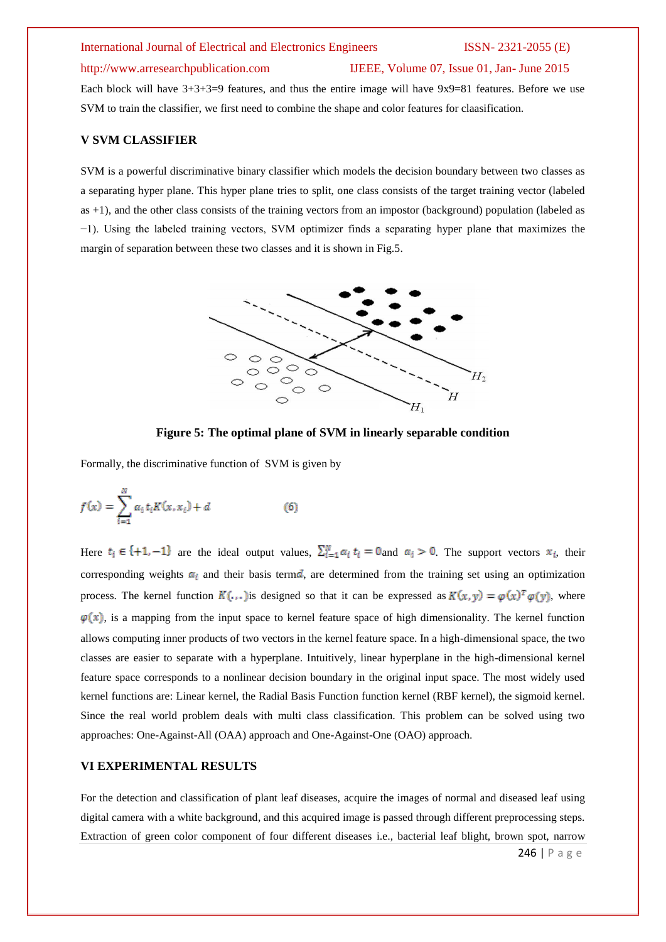### http://www.arresearchpublication.com IJEEE, Volume 07, Issue 01, Jan- June 2015

Each block will have 3+3+3=9 features, and thus the entire image will have 9x9=81 features. Before we use SVM to train the classifier, we first need to combine the shape and color features for claasification.

# **V SVM CLASSIFIER**

SVM is a powerful discriminative binary classifier which models the decision boundary between two classes as a separating hyper plane. This hyper plane tries to split, one class consists of the target training vector (labeled as +1), and the other class consists of the training vectors from an impostor (background) population (labeled as −1). Using the labeled training vectors, SVM optimizer finds a separating hyper plane that maximizes the margin of separation between these two classes and it is shown in Fig.5.



**Figure 5: The optimal plane of SVM in linearly separable condition**

Formally, the discriminative function of SVM is given by

$$
f(x) = \sum_{i=1}^{N} \alpha_i t_i K(x, x_i) + d
$$
 (6)

Here  $t_i \in \{+1, -1\}$  are the ideal output values,  $\sum_{i=1}^{N} \alpha_i t_i = 0$  and  $\alpha_i > 0$ . The support vectors  $x_i$ , their corresponding weights  $\alpha_i$  and their basis term , are determined from the training set using an optimization process. The kernel function  $K(\ldots)$  is designed so that it can be expressed as  $K(x, y) = \varphi(x)^T \varphi(y)$ , where  $\varphi(x)$ , is a mapping from the input space to kernel feature space of high dimensionality. The kernel function allows computing inner products of two vectors in the kernel feature space. In a high-dimensional space, the two classes are easier to separate with a hyperplane. Intuitively, linear hyperplane in the high-dimensional kernel feature space corresponds to a nonlinear decision boundary in the original input space. The most widely used kernel functions are: Linear kernel, the Radial Basis Function function kernel (RBF kernel), the sigmoid kernel. Since the real world problem deals with multi class classification. This problem can be solved using two approaches: One-Against-All (OAA) approach and One-Against-One (OAO) approach.

# **VI EXPERIMENTAL RESULTS**

246 | P a g e For the detection and classification of plant leaf diseases, acquire the images of normal and diseased leaf using digital camera with a white background, and this acquired image is passed through different preprocessing steps. Extraction of green color component of four different diseases i.e., bacterial leaf blight, brown spot, narrow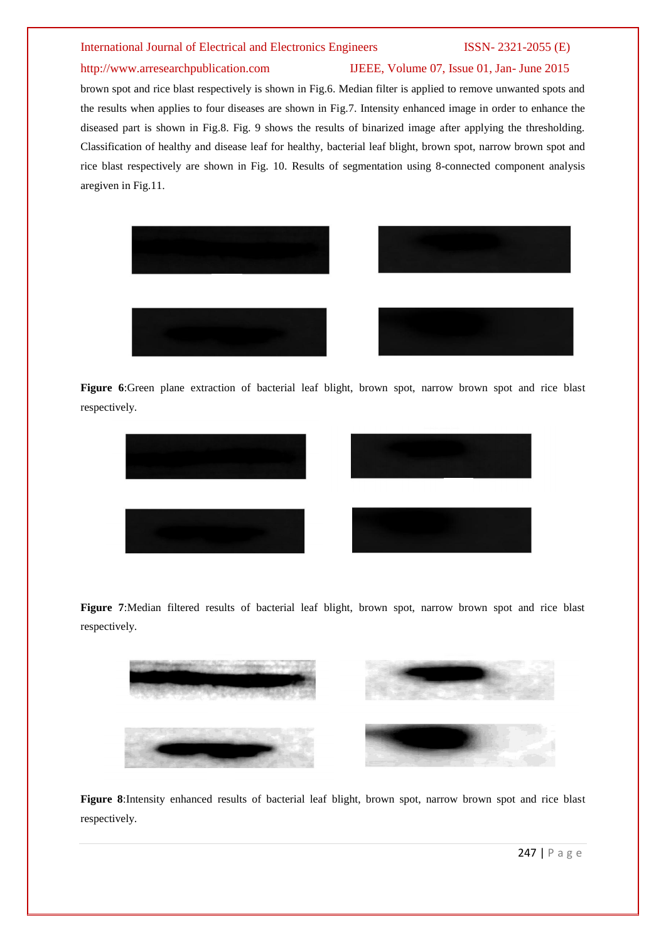# http://www.arresearchpublication.com IJEEE, Volume 07, Issue 01, Jan- June 2015

brown spot and rice blast respectively is shown in Fig.6. Median filter is applied to remove unwanted spots and the results when applies to four diseases are shown in Fig.7. Intensity enhanced image in order to enhance the diseased part is shown in Fig.8. Fig. 9 shows the results of binarized image after applying the thresholding. Classification of healthy and disease leaf for healthy, bacterial leaf blight, brown spot, narrow brown spot and rice blast respectively are shown in Fig. 10. Results of segmentation using 8-connected component analysis aregiven in Fig.11.





**Figure 6**:Green plane extraction of bacterial leaf blight, brown spot, narrow brown spot and rice blast respectively.



**Figure 7**:Median filtered results of bacterial leaf blight, brown spot, narrow brown spot and rice blast respectively.



) ) **Figure 8**:Intensity enhanced results of bacterial leaf blight, brown spot, narrow brown spot and rice blast respectively.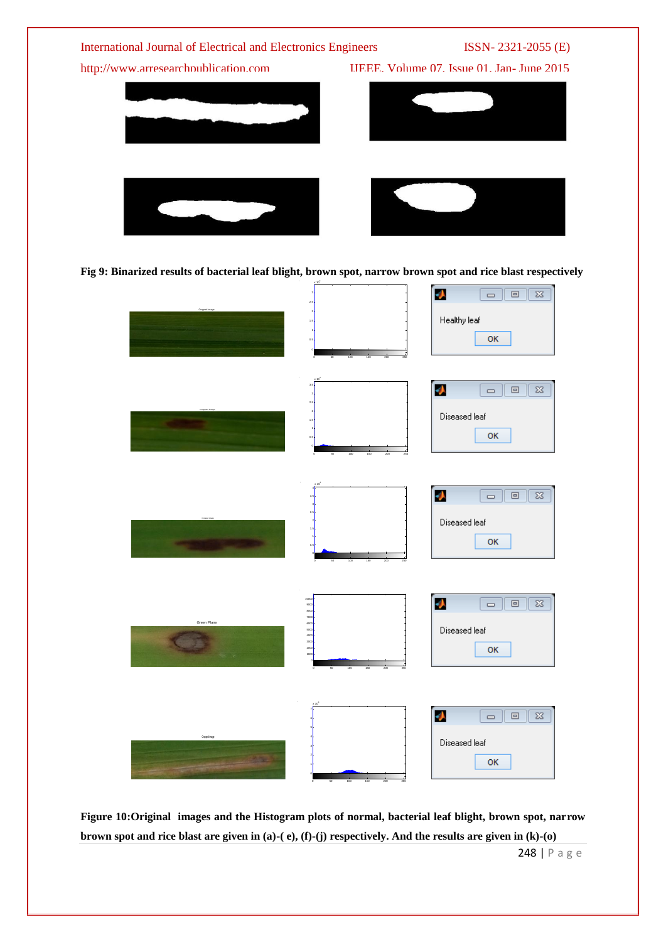



**Figure 10:Original images and the Histogram plots of normal, bacterial leaf blight, brown spot, narrow brown spot and rice blast are given in (a)-( e), (f)-(j) respectively. And the results are given in (k)-(o)**

248 | P a g e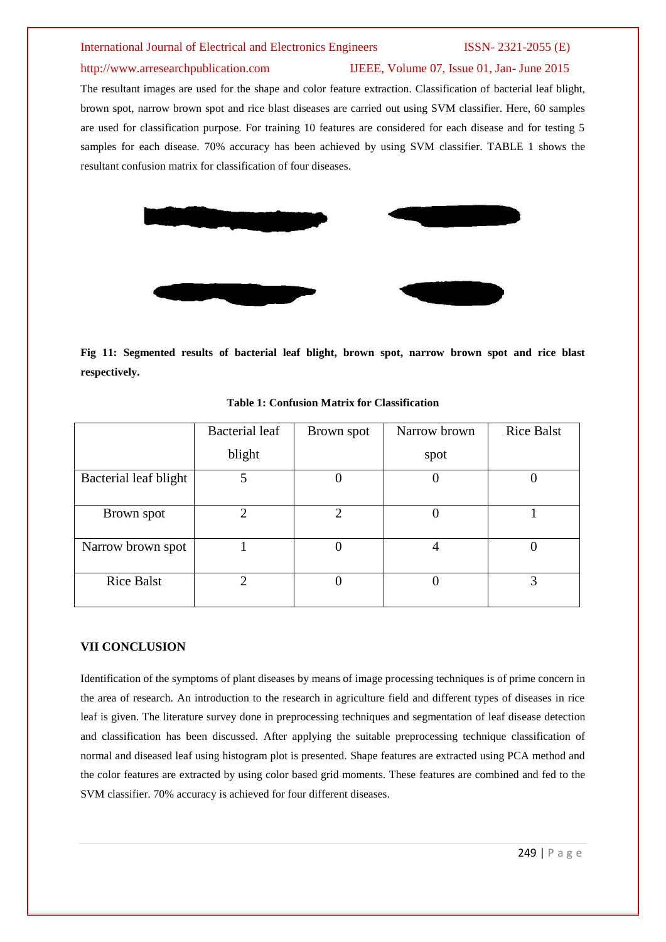# http://www.arresearchpublication.com IJEEE, Volume 07, Issue 01, Jan- June 2015

The resultant images are used for the shape and color feature extraction. Classification of bacterial leaf blight, brown spot, narrow brown spot and rice blast diseases are carried out using SVM classifier. Here, 60 samples are used for classification purpose. For training 10 features are considered for each disease and for testing 5 samples for each disease. 70% accuracy has been achieved by using SVM classifier. TABLE 1 shows the resultant confusion matrix for classification of four diseases.



**Fig 11: Segmented results of bacterial leaf blight, brown spot, narrow brown spot and rice blast respectively.**

|                       | Bacterial leaf | Brown spot                  | Narrow brown | <b>Rice Balst</b> |
|-----------------------|----------------|-----------------------------|--------------|-------------------|
|                       | blight         |                             | spot         |                   |
| Bacterial leaf blight | 5              |                             |              |                   |
|                       |                |                             |              |                   |
| Brown spot            | ∍              | $\mathcal{D}_{\mathcal{L}}$ |              |                   |
|                       |                |                             |              |                   |
| Narrow brown spot     |                |                             |              |                   |
| <b>Rice Balst</b>     |                |                             |              | 3                 |

### **Table 1: Confusion Matrix for Classification**

### **VII CONCLUSION**

Identification of the symptoms of plant diseases by means of image processing techniques is of prime concern in the area of research. An introduction to the research in agriculture field and different types of diseases in rice leaf is given. The literature survey done in preprocessing techniques and segmentation of leaf disease detection and classification has been discussed. After applying the suitable preprocessing technique classification of normal and diseased leaf using histogram plot is presented. Shape features are extracted using PCA method and the color features are extracted by using color based grid moments. These features are combined and fed to the SVM classifier. 70% accuracy is achieved for four different diseases.